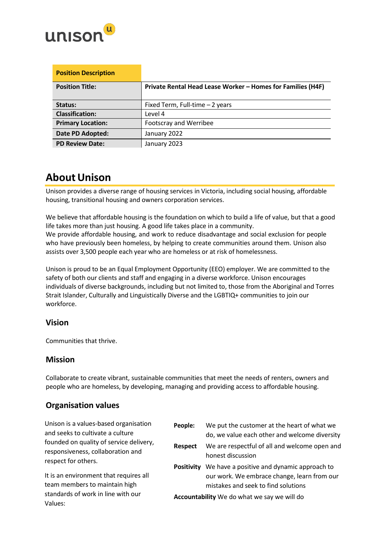

| <b>Position Description</b> |                                                             |
|-----------------------------|-------------------------------------------------------------|
| <b>Position Title:</b>      | Private Rental Head Lease Worker - Homes for Families (H4F) |
|                             |                                                             |
| Status:                     | Fixed Term, Full-time - 2 years                             |
| <b>Classification:</b>      | Level 4                                                     |
| <b>Primary Location:</b>    | Footscray and Werribee                                      |
| Date PD Adopted:            | January 2022                                                |
| <b>PD Review Date:</b>      | January 2023                                                |

## **About Unison**

Unison provides a diverse range of housing services in Victoria, including social housing, affordable housing, transitional housing and owners corporation services.

We believe that affordable housing is the foundation on which to build a life of value, but that a good life takes more than just housing. A good life takes place in a community. We provide affordable housing, and work to reduce disadvantage and social exclusion for people who have previously been homeless, by helping to create communities around them. Unison also assists over 3,500 people each year who are homeless or at risk of homelessness.

Unison is proud to be an Equal Employment Opportunity (EEO) employer. We are committed to the safety of both our clients and staff and engaging in a diverse workforce. Unison encourages individuals of diverse backgrounds, including but not limited to, those from the Aboriginal and Torres Strait Islander, Culturally and Linguistically Diverse and the LGBTIQ+ communities to join our workforce.

### **Vision**

Communities that thrive.

### **Mission**

Collaborate to create vibrant, sustainable communities that meet the needs of renters, owners and people who are homeless, by developing, managing and providing access to affordable housing.

### **Organisation values**

Unison is a values-based organisation and seeks to cultivate a culture founded on quality of service delivery, responsiveness, collaboration and respect for others.

It is an environment that requires all team members to maintain high standards of work in line with our Values:

| People:                                            | We put the customer at the heart of what we<br>do, we value each other and welcome diversity                                     |  |
|----------------------------------------------------|----------------------------------------------------------------------------------------------------------------------------------|--|
| <b>Respect</b>                                     | We are respectful of all and welcome open and<br>honest discussion                                                               |  |
| <b>Positivity</b>                                  | We have a positive and dynamic approach to<br>our work. We embrace change, learn from our<br>mistakes and seek to find solutions |  |
| <b>Accountability</b> We do what we say we will do |                                                                                                                                  |  |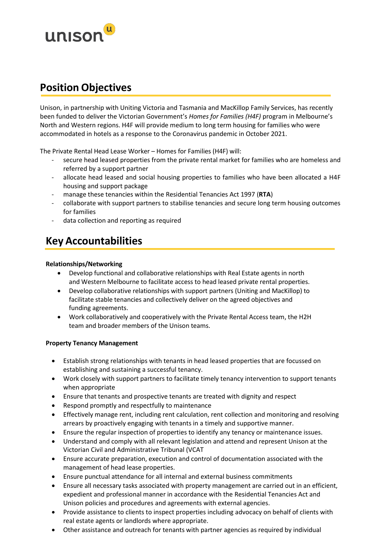

## **Position Objectives**

Unison, in partnership with Uniting Victoria and Tasmania and MacKillop Family Services, has recently been funded to deliver the Victorian Government's *Homes for Families (H4F)* program in Melbourne's North and Western regions. H4F will provide medium to long term housing for families who were accommodated in hotels as a response to the Coronavirus pandemic in October 2021.

The Private Rental Head Lease Worker – Homes for Families (H4F) will:

- secure head leased properties from the private rental market for families who are homeless and referred by a support partner
- allocate head leased and social housing properties to families who have been allocated a H4F housing and support package
- manage these tenancies within the Residential Tenancies Act 1997 (**RTA**)
- collaborate with support partners to stabilise tenancies and secure long term housing outcomes for families
- data collection and reporting as required

## **Key Accountabilities**

#### **Relationships/Networking**

- Develop functional and collaborative relationships with Real Estate agents in north and Western Melbourne to facilitate access to head leased private rental properties.
- Develop collaborative relationships with support partners (Uniting and MacKillop) to facilitate stable tenancies and collectively deliver on the agreed objectives and funding agreements.
- Work collaboratively and cooperatively with the Private Rental Access team, the H2H team and broader members of the Unison teams.

#### **Property Tenancy Management**

- Establish strong relationships with tenants in head leased properties that are focussed on establishing and sustaining a successful tenancy.
- Work closely with support partners to facilitate timely tenancy intervention to support tenants when appropriate
- Ensure that tenants and prospective tenants are treated with dignity and respect
- Respond promptly and respectfully to maintenance
- Effectively manage rent, including rent calculation, rent collection and monitoring and resolving arrears by proactively engaging with tenants in a timely and supportive manner.
- Ensure the regular inspection of properties to identify any tenancy or maintenance issues.
- Understand and comply with all relevant legislation and attend and represent Unison at the Victorian Civil and Administrative Tribunal (VCAT
- Ensure accurate preparation, execution and control of documentation associated with the management of head lease properties.
- Ensure punctual attendance for all internal and external business commitments
- Ensure all necessary tasks associated with property management are carried out in an efficient, expedient and professional manner in accordance with the Residential Tenancies Act and Unison policies and procedures and agreements with external agencies.
- Provide assistance to clients to inspect properties including advocacy on behalf of clients with real estate agents or landlords where appropriate.
- Other assistance and outreach for tenants with partner agencies as required by individual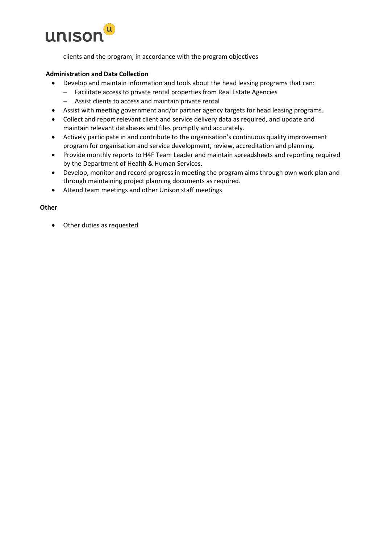

clients and the program, in accordance with the program objectives

#### **Administration and Data Collection**

- Develop and maintain information and tools about the head leasing programs that can:
	- − Facilitate access to private rental properties from Real Estate Agencies
	- − Assist clients to access and maintain private rental
- Assist with meeting government and/or partner agency targets for head leasing programs.
- Collect and report relevant client and service delivery data as required, and update and maintain relevant databases and files promptly and accurately.
- Actively participate in and contribute to the organisation's continuous quality improvement program for organisation and service development, review, accreditation and planning.
- Provide monthly reports to H4F Team Leader and maintain spreadsheets and reporting required by the Department of Health & Human Services.
- Develop, monitor and record progress in meeting the program aims through own work plan and through maintaining project planning documents as required.
- Attend team meetings and other Unison staff meetings

#### **Other**

• Other duties as requested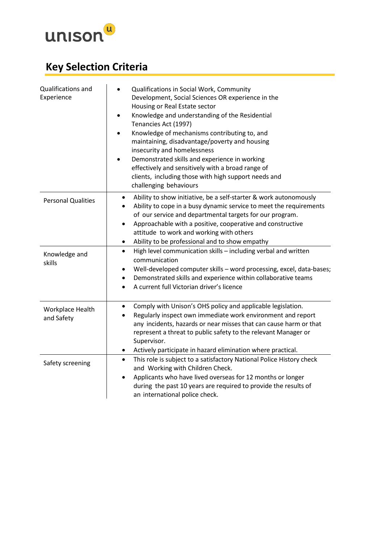

# **Key Selection Criteria**

| Qualifications and<br>Experience | Qualifications in Social Work, Community<br>Development, Social Sciences OR experience in the<br>Housing or Real Estate sector<br>Knowledge and understanding of the Residential<br>$\bullet$<br>Tenancies Act (1997)<br>Knowledge of mechanisms contributing to, and<br>maintaining, disadvantage/poverty and housing<br>insecurity and homelessness<br>Demonstrated skills and experience in working<br>effectively and sensitively with a broad range of<br>clients, including those with high support needs and<br>challenging behaviours |
|----------------------------------|-----------------------------------------------------------------------------------------------------------------------------------------------------------------------------------------------------------------------------------------------------------------------------------------------------------------------------------------------------------------------------------------------------------------------------------------------------------------------------------------------------------------------------------------------|
| <b>Personal Qualities</b>        | Ability to show initiative, be a self-starter & work autonomously<br>$\bullet$<br>Ability to cope in a busy dynamic service to meet the requirements<br>$\bullet$<br>of our service and departmental targets for our program.<br>Approachable with a positive, cooperative and constructive<br>$\bullet$<br>attitude to work and working with others<br>Ability to be professional and to show empathy<br>$\bullet$                                                                                                                           |
| Knowledge and<br>skills          | High level communication skills - including verbal and written<br>$\bullet$<br>communication<br>Well-developed computer skills - word processing, excel, data-bases;<br>٠<br>Demonstrated skills and experience within collaborative teams<br>٠<br>A current full Victorian driver's licence                                                                                                                                                                                                                                                  |
| Workplace Health<br>and Safety   | Comply with Unison's OHS policy and applicable legislation.<br>$\bullet$<br>Regularly inspect own immediate work environment and report<br>any incidents, hazards or near misses that can cause harm or that<br>represent a threat to public safety to the relevant Manager or<br>Supervisor.<br>Actively participate in hazard elimination where practical.<br>$\bullet$                                                                                                                                                                     |
| Safety screening                 | This role is subject to a satisfactory National Police History check<br>$\bullet$<br>and Working with Children Check.<br>Applicants who have lived overseas for 12 months or longer<br>$\bullet$<br>during the past 10 years are required to provide the results of<br>an international police check.                                                                                                                                                                                                                                         |